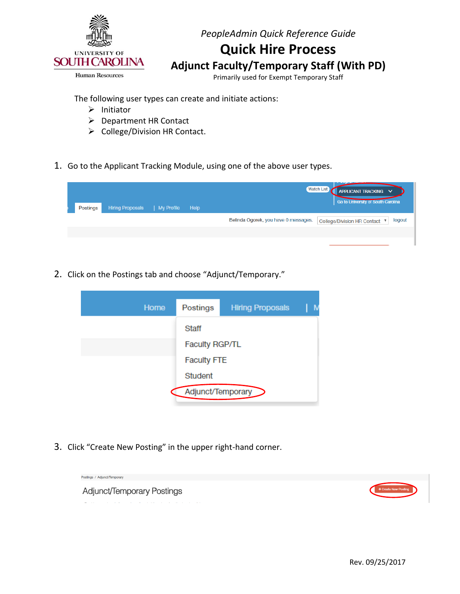

# **Quick Hire Process**

**Adjunct Faculty/Temporary Staff (With PD)** 

Primarily used for Exempt Temporary Staff

The following user types can create and initiate actions:

- $\triangleright$  Initiator
- ▶ Department HR Contact
- $\triangleright$  College/Division HR Contact.
- 1. Go to the Applicant Tracking Module, using one of the above user types.

| Postings | <b>Hiring Proposals</b> | My Profile | Help | <b>Watch List</b><br>APPLICANT TRACKING V<br>Go to University of South Carolina |
|----------|-------------------------|------------|------|---------------------------------------------------------------------------------|
|          |                         |            |      | Belinda Ogorek, you have 0 messages.<br>logout<br>College/Division HR Contact ▼ |
|          |                         |            |      |                                                                                 |
|          |                         |            |      |                                                                                 |

2. Click on the Postings tab and choose "Adjunct/Temporary."



3. Click "Create New Posting" in the upper right-hand corner.

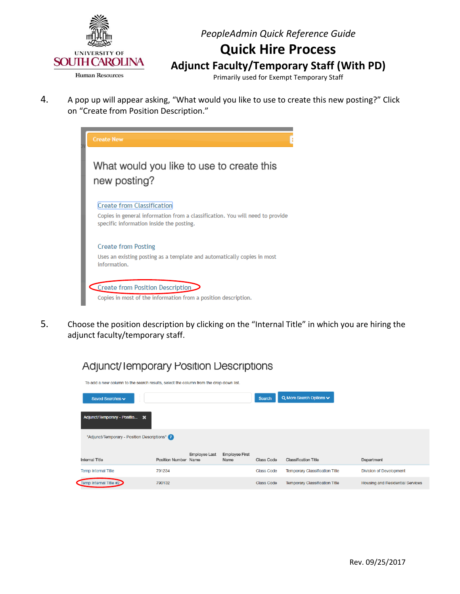

## **Quick Hire Process**

**Adjunct Faculty/Temporary Staff (With PD)**

Primarily used for Exempt Temporary Staff

4. A pop up will appear asking, "What would you like to use to create this new posting?" Click on "Create from Position Description."



5. Choose the position description by clicking on the "Internal Title" in which you are hiring the adjunct faculty/temporary staff.



### **Adjunct/ lemporary Position Descriptions**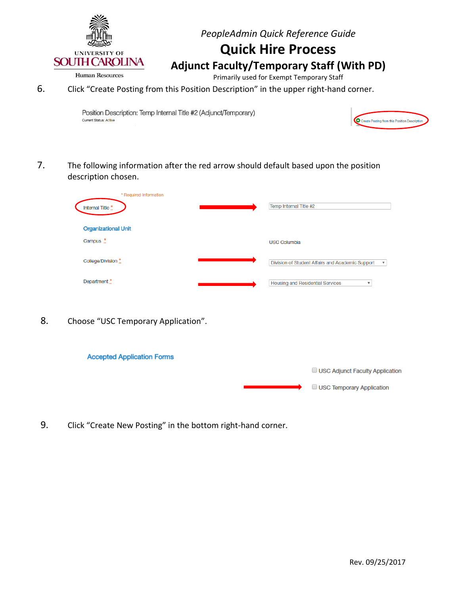

## **Quick Hire Process**

**Adjunct Faculty/Temporary Staff (With PD)**

Human Resources

Primarily used for Exempt Temporary Staff

6. Click "Create Posting from this Position Description" in the upper right-hand corner.

Position Description: Temp Internal Title #2 (Adjunct/Temporary) Current Status: Active



7. The following information after the red arrow should default based upon the position description chosen.

| * Required Information<br>Internal Title * | Temp Internal Title #2                                                        |
|--------------------------------------------|-------------------------------------------------------------------------------|
| <b>Organizational Unit</b>                 |                                                                               |
| Campus $*$                                 | <b>USC Columbia</b>                                                           |
| College/Division *                         | Division of Student Affairs and Academic Support<br>$\boldsymbol{\mathrm{v}}$ |
| Department *                               | <b>Housing and Residential Services</b><br>$\boldsymbol{\mathrm{v}}$          |
|                                            |                                                                               |

8. Choose "USC Temporary Application".

| <b>Accepted Application Forms</b> |                                  |
|-----------------------------------|----------------------------------|
|                                   | USC Adjunct Faculty Application  |
|                                   | <b>USC Temporary Application</b> |

9. Click "Create New Posting" in the bottom right-hand corner.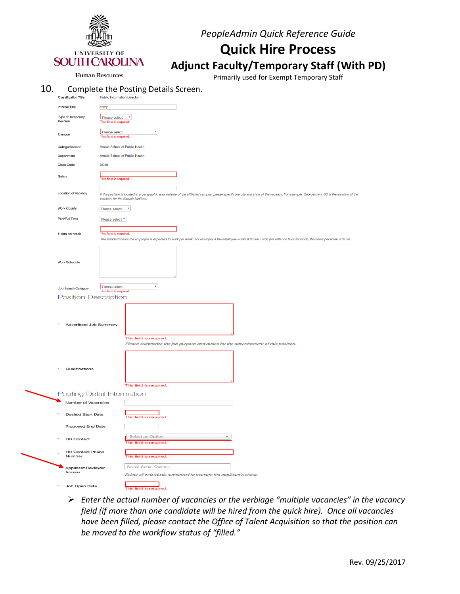

## **Quick Hire Process**

**Adjunct Faculty/Temporary Staff (With PD)**

Primarily used for Exempt Temporary Staff

#### 10. Complete the Posting Details Screen.

| <b>Classification Title</b>                  | <b>Public Information Director I</b>     |                                                                                                                                                                                        |
|----------------------------------------------|------------------------------------------|----------------------------------------------------------------------------------------------------------------------------------------------------------------------------------------|
| Internal Title                               | temp                                     |                                                                                                                                                                                        |
| Type of Temporary<br>Position                | Please select<br>This field is required. | $\mathbf v$                                                                                                                                                                            |
| Campus                                       | Please select<br>This field is required. | $\boldsymbol{\mathrm{v}}$                                                                                                                                                              |
| College/Division                             | Arnold School of Public Health           |                                                                                                                                                                                        |
| Department                                   | Arnold School of Public Health           |                                                                                                                                                                                        |
| Class Code                                   | <b>BC30</b>                              |                                                                                                                                                                                        |
| Salary                                       | This field is required.                  |                                                                                                                                                                                        |
| Location of Vacancy                          | vacancy for the Baruch Institute.        | If the position is located in a geographic area outside of the affiliated campus, please specify the city and state of the vacancy. For example, Georgetown, SC is the location of the |
| <b>Work County</b>                           | Please select <b>v</b>                   |                                                                                                                                                                                        |
| Part/Full Time                               | Please select ▼                          |                                                                                                                                                                                        |
|                                              |                                          |                                                                                                                                                                                        |
| Hours per week                               | This field is required.                  |                                                                                                                                                                                        |
| Work Schedule                                |                                          | The standard hours the employee is expected to work per week. For example, if the employee works 8:30 am - 5:00 pm with one hour for lunch, the hours per week is 37.50.               |
| Job Search Category                          | Please select<br>This field is required. | $\boldsymbol{\mathrm{v}}$                                                                                                                                                              |
| <b>Position Description</b>                  |                                          |                                                                                                                                                                                        |
| Advertised Job Summary                       |                                          | This field is required.<br>Please summarize the job purpose and duties for the advertisement of this position.                                                                         |
| Qualifications<br>Posting Detail Information |                                          | This field is required.                                                                                                                                                                |
| Number of Vacancies                          |                                          |                                                                                                                                                                                        |
| <b>Desired Start Date</b>                    |                                          | This field is required.                                                                                                                                                                |
| Proposed End Date                            |                                          |                                                                                                                                                                                        |
| <b>HR Contact</b>                            |                                          | <b>Select an Option</b><br>$\overline{\phantom{a}}$<br>This field is required.                                                                                                         |
| <b>HR Contact Phone</b><br>Number            |                                          | This field is required.                                                                                                                                                                |
| Applicant Reviewer<br>Access                 |                                          | <b>Select Some Options</b><br>Select all individuals authorized to manage the applicant's status.                                                                                      |
| Job Open Date                                |                                          |                                                                                                                                                                                        |

 *Enter the actual number of vacancies or the verbiage "multiple vacancies" in the vacancy field (if more than one candidate will be hired from the quick hire). Once all vacancies have been filled, please contact the Office of Talent Acquisition so that the position can be moved to the workflow status of "filled."*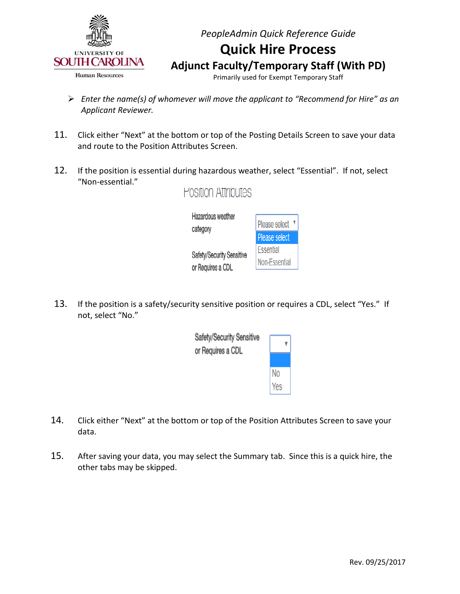

Primarily used for Exempt Temporary Staff

- *Enter the name(s) of whomever will move the applicant to "Recommend for Hire" as an Applicant Reviewer.*
- 11. Click either "Next" at the bottom or top of the Posting Details Screen to save your data and route to the Position Attributes Screen.
- 12. If the position is essential during hazardous weather, select "Essential". If not, select "Non-essential." **Position Attributes**

Hazardous weather Please select <sup>v</sup> category Please select Essential Safety/Security Sensitive Non-Essential or Requires a CDL

13. If the position is a safety/security sensitive position or requires a CDL, select "Yes." If not, select "No."



- 14. Click either "Next" at the bottom or top of the Position Attributes Screen to save your data.
- 15. After saving your data, you may select the Summary tab. Since this is a quick hire, the other tabs may be skipped.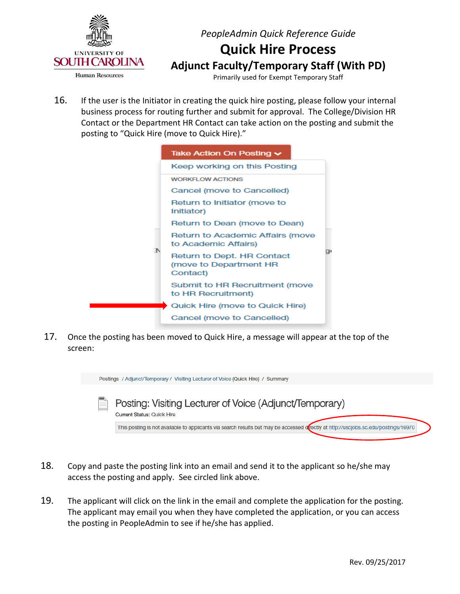

Primarily used for Exempt Temporary Staff

16. If the user is the Initiator in creating the quick hire posting, please follow your internal business process for routing further and submit for approval. The College/Division HR Contact or the Department HR Contact can take action on the posting and submit the posting to "Quick Hire (move to Quick Hire)."

|   | Take Action On Posting $\sim$                                    |
|---|------------------------------------------------------------------|
|   | Keep working on this Posting                                     |
|   | <b>WORKFLOW ACTIONS</b>                                          |
|   | Cancel (move to Cancelled)                                       |
|   | Return to Initiator (move to<br>Initiator)                       |
|   | Return to Dean (move to Dean)                                    |
| Ъ | Return to Academic Affairs (move<br>to Academic Affairs)         |
|   | Return to Dept. HR Contact<br>(move to Department HR<br>Contact) |
|   | Submit to HR Recruitment (move<br>to HR Recruitment)             |
|   | Quick Hire (move to Quick Hire)                                  |
|   | Cancel (move to Cancelled)                                       |

17. Once the posting has been moved to Quick Hire, a message will appear at the top of the screen:



- 18. Copy and paste the posting link into an email and send it to the applicant so he/she may access the posting and apply. See circled link above.
- 19. The applicant will click on the link in the email and complete the application for the posting. The applicant may email you when they have completed the application, or you can access the posting in PeopleAdmin to see if he/she has applied.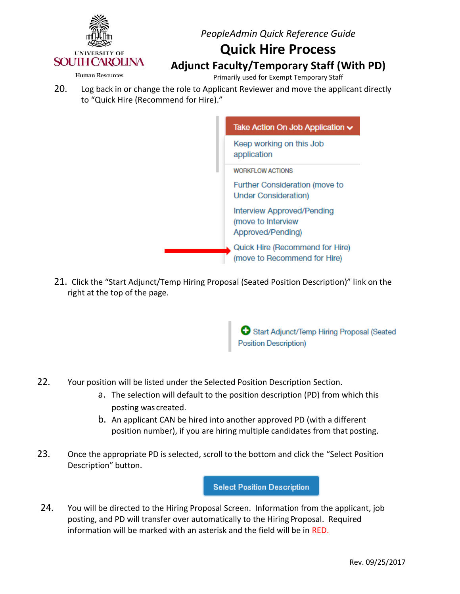

### **Quick Hire Process Adjunct Faculty/Temporary Staff (With PD)**

**Human Resources** 

Primarily used for Exempt Temporary Staff

20. Log back in or change the role to Applicant Reviewer and move the applicant directly to "Quick Hire (Recommend for Hire)."



21. Click the "Start Adjunct/Temp Hiring Proposal (Seated Position Description)" link on the right at the top of the page.

> Start Adjunct/Temp Hiring Proposal (Seated **Position Description)**

- 22. Your position will be listed under the Selected Position Description Section.
	- a. The selection will default to the position description (PD) from which this posting was created.
	- b. An applicant CAN be hired into another approved PD (with a different position number), if you are hiring multiple candidates from that posting.
- 23. Once the appropriate PD is selected, scroll to the bottom and click the "Select Position Description" button.

**Select Position Description** 

24. You will be directed to the Hiring Proposal Screen. Information from the applicant, job posting, and PD will transfer over automatically to the Hiring Proposal. Required information will be marked with an asterisk and the field will be in RED.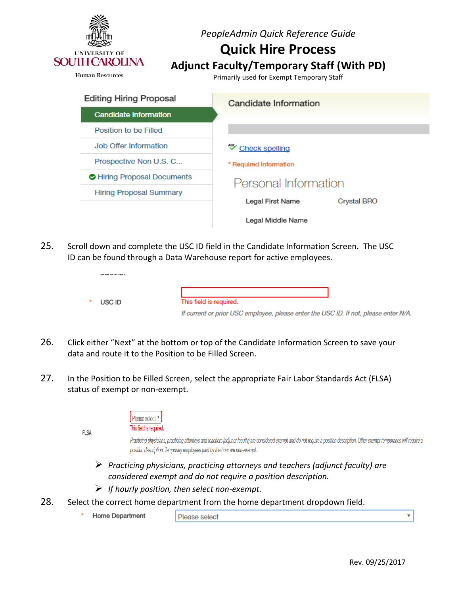

**Human Resources** 

Primarily used for Exempt Temporary Staff

| <b>Editing Hiring Proposal</b> | Candidate Information                  |  |
|--------------------------------|----------------------------------------|--|
| <b>Candidate Information</b>   |                                        |  |
| Position to be Filled          |                                        |  |
| Job Offer Information          | ❤<br><b>Check spelling</b>             |  |
| Prospective Non U.S. C         | * Required Information                 |  |
| Hiring Proposal Documents      | Personal Information                   |  |
| <b>Hiring Proposal Summary</b> |                                        |  |
|                                | Legal First Name<br><b>Crystal BRO</b> |  |
|                                | Legal Middle Name                      |  |

25. Scroll down and complete the USC ID field in the Candidate Information Screen. The USC ID can be found through a Data Warehouse report for active employees.

| USC ID | This field is required.                                                              |
|--------|--------------------------------------------------------------------------------------|
|        | If current or prior USC employee, please enter the USC ID. If not, please enter N/A. |

- 26. Click either "Next" at the bottom or top of the Candidate Information Screen to save your data and route it to the Position to be Filled Screen.
- 27. In the Position to be Filled Screen, select the appropriate Fair Labor Standards Act (FLSA) status of exempt or non-exempt.

| <b>FLSA</b> | Please select <sup>v</sup><br>This field is required.                                                                                                                                                                                                             |
|-------------|-------------------------------------------------------------------------------------------------------------------------------------------------------------------------------------------------------------------------------------------------------------------|
|             | Practicing physicians, practicing attorneys and teachers (adjunct faculty) are considered exempt and do not require a position description. Other exempt temporaries will require a<br>position description. Temporary employees paid by the hour are non-exempt. |
|             | Practicing physicians, practicing attorneys and teachers (adjunct faculty) are<br>considered exempt and do not require a position description.                                                                                                                    |

- *If hourly position, then select non-exempt.*
- 28. Select the correct home department from the home department dropdown field.
	- ×. Home Department
- Please select

۳.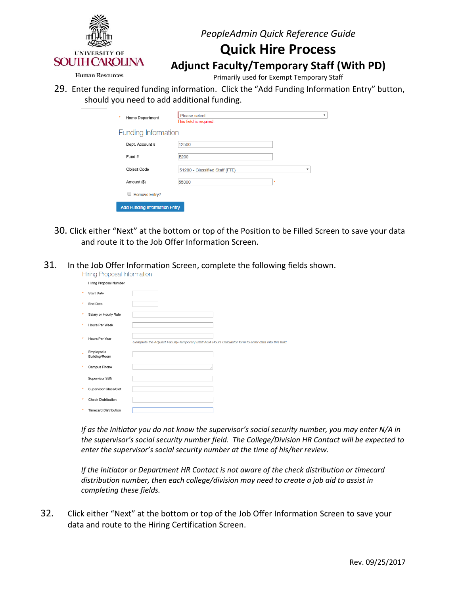

## **Quick Hire Process**

**Adjunct Faculty/Temporary Staff (With PD)**

**Human Resources** 

Primarily used for Exempt Temporary Staff

29. Enter the required funding information. Click the "Add Funding Information Entry" button, should you need to add additional funding.

| ٠<br>Home Department                 | Please select<br>This field is required. |                        | $\overline{\mathbf{v}}$ |
|--------------------------------------|------------------------------------------|------------------------|-------------------------|
| <b>Funding Information</b>           |                                          |                        |                         |
| Dept. Account #                      | 12500                                    |                        |                         |
| Fund #                               | <b>E200</b>                              |                        |                         |
| Object Code                          | 51200 - Classified Staff (FTE)           | $\overline{\mathbf v}$ |                         |
| Amount (\$)                          | 55000                                    | ٠                      |                         |
| <b>Remove Entry?</b>                 |                                          |                        |                         |
| <b>Add Funding Information Entry</b> |                                          |                        |                         |

- 30. Click either "Next" at the bottom or top of the Position to be Filled Screen to save your data and route it to the Job Offer Information Screen.
- 31. In the Job Offer Information Screen, complete the following fields shown.

|   | Hiring Proposal Information  |                                                                                                       |  |  |
|---|------------------------------|-------------------------------------------------------------------------------------------------------|--|--|
|   | Hiring Proposal Number       |                                                                                                       |  |  |
| ٠ | <b>Start Date</b>            |                                                                                                       |  |  |
| ٠ | <b>End Date</b>              |                                                                                                       |  |  |
| ٠ | Salary or Hourly Rate        |                                                                                                       |  |  |
| ٠ | Hours Per Week               |                                                                                                       |  |  |
| ٠ | Hours Per Year               | Complete the Adjunct Faculty-Temporary Staff ACA Hours Calculator form to enter data into this field. |  |  |
| ٠ | Employee's<br>Building/Room  |                                                                                                       |  |  |
|   | Campus Phone                 |                                                                                                       |  |  |
|   | Supervisor SSN               |                                                                                                       |  |  |
|   | Supervisor Class/Slot        |                                                                                                       |  |  |
|   | <b>Check Distribution</b>    |                                                                                                       |  |  |
|   | <b>Timecard Distribution</b> |                                                                                                       |  |  |

*If as the Initiator you do not know the supervisor's social security number, you may enter N/A in the supervisor's social security number field. The College/Division HR Contact will be expected to enter the supervisor's social security number at the time of his/her review.*

*If the Initiator or Department HR Contact is not aware of the check distribution or timecard distribution number, then each college/division may need to create a job aid to assist in completing these fields.*

32. Click either "Next" at the bottom or top of the Job Offer Information Screen to save your data and route to the Hiring Certification Screen.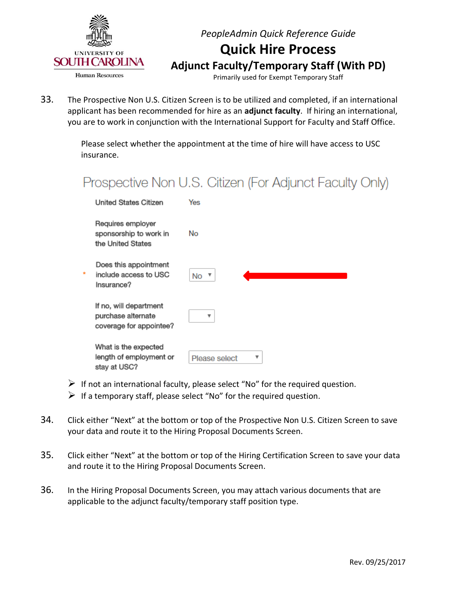

Primarily used for Exempt Temporary Staff

33. The Prospective Non U.S. Citizen Screen is to be utilized and completed, if an international applicant has been recommended for hire as an **adjunct faculty**. If hiring an international, you are to work in conjunction with the International Support for Faculty and Staff Office.

> Please select whether the appointment at the time of hire will have access to USC insurance.

## Prospective Non U.S. Citizen (For Adjunct Faculty Only)

| United States Citizen                                                   | Yes                |
|-------------------------------------------------------------------------|--------------------|
| Requires employer<br>sponsorship to work in<br>the United States        | No                 |
| Does this appointment<br>include access to USC<br>Insurance?            | No ▼               |
| If no, will department<br>purchase alternate<br>coverage for appointee? | v                  |
| What is the expected<br>length of employment or<br>stay at USC?         | v<br>Please select |

- $\triangleright$  If not an international faculty, please select "No" for the required question.
- $\triangleright$  If a temporary staff, please select "No" for the required question.
- 34. Click either "Next" at the bottom or top of the Prospective Non U.S. Citizen Screen to save your data and route it to the Hiring Proposal Documents Screen.
- 35. Click either "Next" at the bottom or top of the Hiring Certification Screen to save your data and route it to the Hiring Proposal Documents Screen.
- 36. In the Hiring Proposal Documents Screen, you may attach various documents that are applicable to the adjunct faculty/temporary staff position type.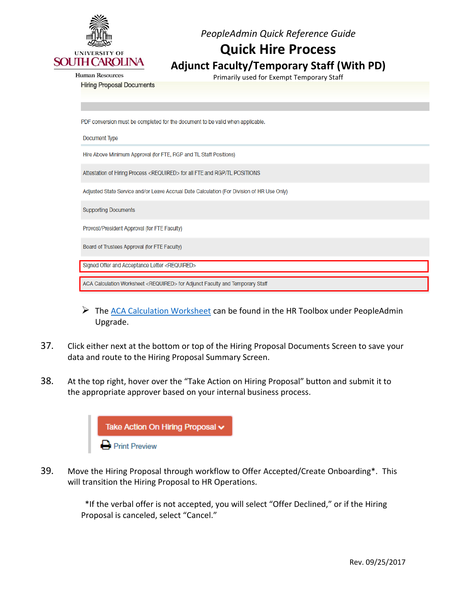

## **Quick Hire Process**

### **Adjunct Faculty/Temporary Staff (With PD)**

Primarily used for Exempt Temporary Staff

**Human Resources** 

#### **Hiring Proposal Documents**

PDF conversion must be completed for the document to be valid when applicable.

Document Type

Hire Above Minimum Approval (for FTE, RGP and TL Staff Positions)

Attestation of Hiring Process <REQUIRED> for all FTE and RGP/TL POSITIONS

Adjusted State Service and/or Leave Accrual Date Calculation (For Division of HR Use Only)

**Supporting Documents** 

Provost/President Approval (for FTE Faculty)

Board of Trustees Approval (for FTE Faculty)

Signed Offer and Acceptance Letter <REQUIRED>

ACA Calculation Worksheet <REQUIRED> for Adjunct Faculty and Temporary Staff

- $\triangleright$  The [ACA Calculation Worksheet](http://www.sc.edu/about/offices_and_divisions/human_resources/docs/pa_aca_calculation_worksheet.pdf) can be found in the HR Toolbox under PeopleAdmin Upgrade.
- 37. Click either next at the bottom or top of the Hiring Proposal Documents Screen to save your data and route to the Hiring Proposal Summary Screen.
- 38. At the top right, hover over the "Take Action on Hiring Proposal" button and submit it to the appropriate approver based on your internal business process.



39. Move the Hiring Proposal through workflow to Offer Accepted/Create Onboarding\*. This will transition the Hiring Proposal to HR Operations.

> \*If the verbal offer is not accepted, you will select "Offer Declined," or if the Hiring Proposal is canceled, select "Cancel."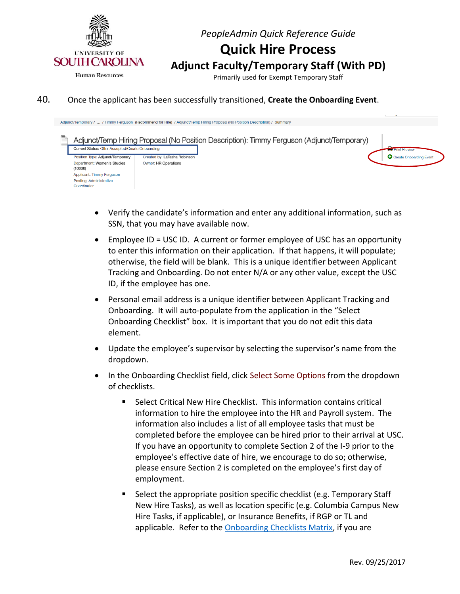

Primarily used for Exempt Temporary Staff

#### 40. Once the applicant has been successfully transitioned, **Create the Onboarding Event**.



- Verify the candidate's information and enter any additional information, such as SSN, that you may have available now.
- Employee ID = USC ID. A current or former employee of USC has an opportunity to enter this information on their application. If that happens, it will populate; otherwise, the field will be blank. This is a unique identifier between Applicant Tracking and Onboarding. Do not enter N/A or any other value, except the USC ID, if the employee has one.
- Personal email address is a unique identifier between Applicant Tracking and Onboarding. It will auto-populate from the application in the "Select Onboarding Checklist" box. It is important that you do not edit this data element.
- Update the employee's supervisor by selecting the supervisor's name from the dropdown.
- In the Onboarding Checklist field, click Select Some Options from the dropdown of checklists.
	- Select Critical New Hire Checklist. This information contains critical information to hire the employee into the HR and Payroll system. The information also includes a list of all employee tasks that must be completed before the employee can be hired prior to their arrival at USC. If you have an opportunity to complete Section 2 of the I-9 prior to the employee's effective date of hire, we encourage to do so; otherwise, please ensure Section 2 is completed on the employee's first day of employment.
	- Select the appropriate position specific checklist (e.g. Temporary Staff New Hire Tasks), as well as location specific (e.g. Columbia Campus New Hire Tasks, if applicable), or Insurance Benefits, if RGP or TL and applicable. Refer to the [Onboarding Checklists Matrix,](http://www.sc.edu/about/offices_and_divisions/human_resources/docs/pa_onboarding_checklists_matrix.pdf) if you are